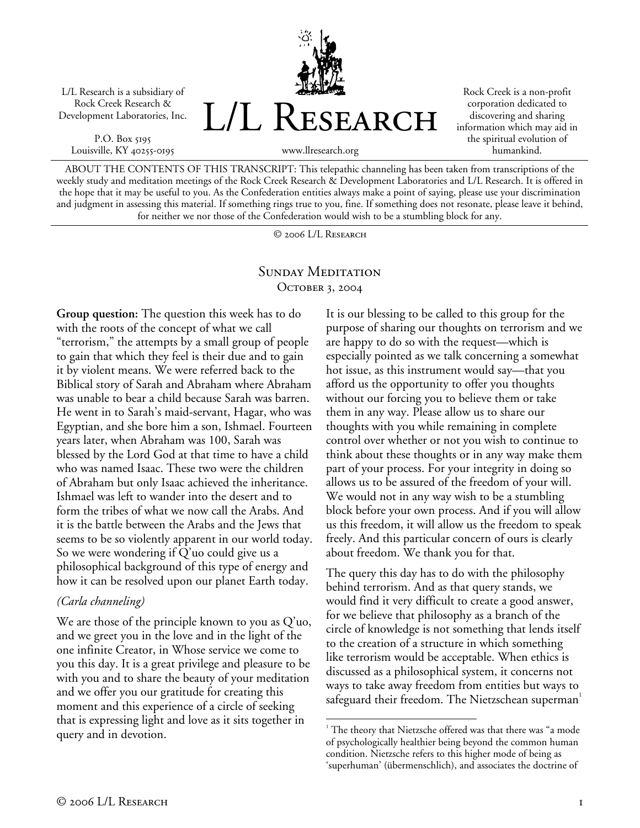L/L Research is a subsidiary of Rock Creek Research & Development Laboratories, Inc.

P.O. Box 5195 Louisville, KY 40255-0195



Rock Creek is a non-profit corporation dedicated to discovering and sharing information which may aid in the spiritual evolution of humankind.

ABOUT THE CONTENTS OF THIS TRANSCRIPT: This telepathic channeling has been taken from transcriptions of the weekly study and meditation meetings of the Rock Creek Research & Development Laboratories and L/L Research. It is offered in the hope that it may be useful to you. As the Confederation entities always make a point of saying, please use your discrimination and judgment in assessing this material. If something rings true to you, fine. If something does not resonate, please leave it behind, for neither we nor those of the Confederation would wish to be a stumbling block for any.

© 2006 L/L Research

## SUNDAY MEDITATION OCTOBER 3, 2004

**Group question:** The question this week has to do with the roots of the concept of what we call "terrorism," the attempts by a small group of people to gain that which they feel is their due and to gain it by violent means. We were referred back to the Biblical story of Sarah and Abraham where Abraham was unable to bear a child because Sarah was barren. He went in to Sarah's maid-servant, Hagar, who was Egyptian, and she bore him a son, Ishmael. Fourteen years later, when Abraham was 100, Sarah was blessed by the Lord God at that time to have a child who was named Isaac. These two were the children of Abraham but only Isaac achieved the inheritance. Ishmael was left to wander into the desert and to form the tribes of what we now call the Arabs. And it is the battle between the Arabs and the Jews that seems to be so violently apparent in our world today. So we were wondering if Q'uo could give us a philosophical background of this type of energy and how it can be resolved upon our planet Earth today.

## *(Carla channeling)*

We are those of the principle known to you as Q'uo, and we greet you in the love and in the light of the one infinite Creator, in Whose service we come to you this day. It is a great privilege and pleasure to be with you and to share the beauty of your meditation and we offer you our gratitude for creating this moment and this experience of a circle of seeking that is expressing light and love as it sits together in query and in devotion.

It is our blessing to be called to this group for the purpose of sharing our thoughts on terrorism and we are happy to do so with the request—which is especially pointed as we talk concerning a somewhat hot issue, as this instrument would say—that you afford us the opportunity to offer you thoughts without our forcing you to believe them or take them in any way. Please allow us to share our thoughts with you while remaining in complete control over whether or not you wish to continue to think about these thoughts or in any way make them part of your process. For your integrity in doing so allows us to be assured of the freedom of your will. We would not in any way wish to be a stumbling block before your own process. And if you will allow us this freedom, it will allow us the freedom to speak freely. And this particular concern of ours is clearly about freedom. We thank you for that.

The query this day has to do with the philosophy behind terrorism. And as that query stands, we would find it very difficult to create a good answer, for we believe that philosophy as a branch of the circle of knowledge is not something that lends itself to the creation of a structure in which something like terrorism would be acceptable. When ethics is discussed as a philosophical system, it concerns not ways to take away freedom from entities but ways to safeguard their freedom. The Nietzschean superman<sup>1</sup>

<sup>1</sup> <sup>1</sup> The theory that Nietzsche offered was that there was "a mode of psychologically healthier being beyond the common human condition. Nietzsche refers to this higher mode of being as 'superhuman' (übermenschlich), and associates the doctrine of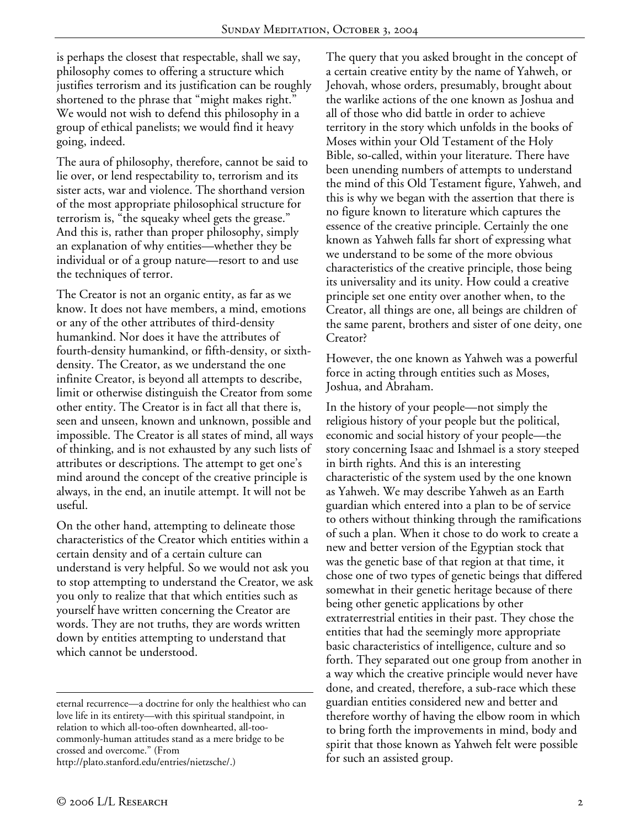is perhaps the closest that respectable, shall we say, philosophy comes to offering a structure which justifies terrorism and its justification can be roughly shortened to the phrase that "might makes right." We would not wish to defend this philosophy in a group of ethical panelists; we would find it heavy going, indeed.

The aura of philosophy, therefore, cannot be said to lie over, or lend respectability to, terrorism and its sister acts, war and violence. The shorthand version of the most appropriate philosophical structure for terrorism is, "the squeaky wheel gets the grease." And this is, rather than proper philosophy, simply an explanation of why entities—whether they be individual or of a group nature—resort to and use the techniques of terror.

The Creator is not an organic entity, as far as we know. It does not have members, a mind, emotions or any of the other attributes of third-density humankind. Nor does it have the attributes of fourth-density humankind, or fifth-density, or sixthdensity. The Creator, as we understand the one infinite Creator, is beyond all attempts to describe, limit or otherwise distinguish the Creator from some other entity. The Creator is in fact all that there is, seen and unseen, known and unknown, possible and impossible. The Creator is all states of mind, all ways of thinking, and is not exhausted by any such lists of attributes or descriptions. The attempt to get one's mind around the concept of the creative principle is always, in the end, an inutile attempt. It will not be useful.

On the other hand, attempting to delineate those characteristics of the Creator which entities within a certain density and of a certain culture can understand is very helpful. So we would not ask you to stop attempting to understand the Creator, we ask you only to realize that that which entities such as yourself have written concerning the Creator are words. They are not truths, they are words written down by entities attempting to understand that which cannot be understood.

eternal recurrence—a doctrine for only the healthiest who can love life in its entirety—with this spiritual standpoint, in relation to which all-too-often downhearted, all-toocommonly-human attitudes stand as a mere bridge to be crossed and overcome." (From http://plato.stanford.edu/entries/nietzsche/.)

The query that you asked brought in the concept of a certain creative entity by the name of Yahweh, or Jehovah, whose orders, presumably, brought about the warlike actions of the one known as Joshua and all of those who did battle in order to achieve territory in the story which unfolds in the books of Moses within your Old Testament of the Holy Bible, so-called, within your literature. There have been unending numbers of attempts to understand the mind of this Old Testament figure, Yahweh, and this is why we began with the assertion that there is no figure known to literature which captures the essence of the creative principle. Certainly the one known as Yahweh falls far short of expressing what we understand to be some of the more obvious characteristics of the creative principle, those being its universality and its unity. How could a creative principle set one entity over another when, to the Creator, all things are one, all beings are children of the same parent, brothers and sister of one deity, one Creator?

However, the one known as Yahweh was a powerful force in acting through entities such as Moses, Joshua, and Abraham.

In the history of your people—not simply the religious history of your people but the political, economic and social history of your people—the story concerning Isaac and Ishmael is a story steeped in birth rights. And this is an interesting characteristic of the system used by the one known as Yahweh. We may describe Yahweh as an Earth guardian which entered into a plan to be of service to others without thinking through the ramifications of such a plan. When it chose to do work to create a new and better version of the Egyptian stock that was the genetic base of that region at that time, it chose one of two types of genetic beings that differed somewhat in their genetic heritage because of there being other genetic applications by other extraterrestrial entities in their past. They chose the entities that had the seemingly more appropriate basic characteristics of intelligence, culture and so forth. They separated out one group from another in a way which the creative principle would never have done, and created, therefore, a sub-race which these guardian entities considered new and better and therefore worthy of having the elbow room in which to bring forth the improvements in mind, body and spirit that those known as Yahweh felt were possible for such an assisted group.

 $\overline{a}$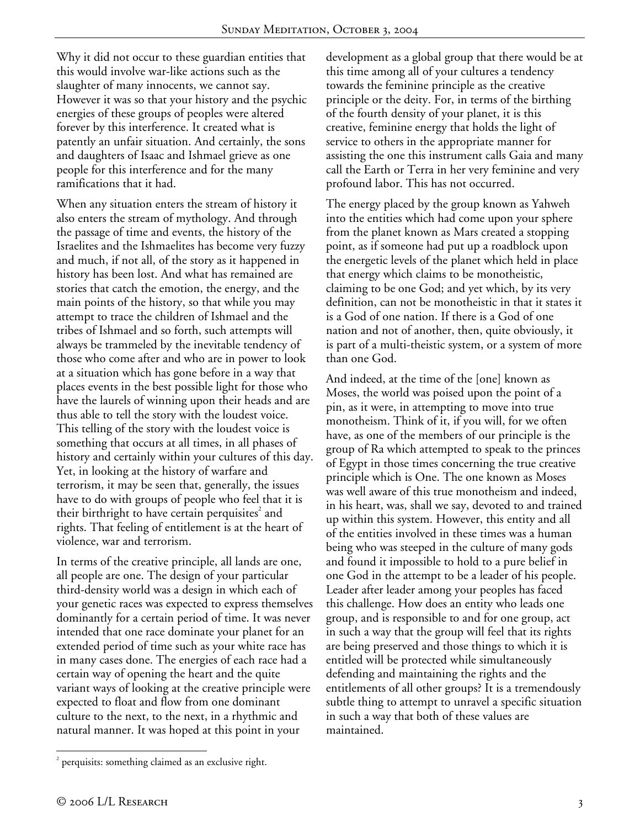Why it did not occur to these guardian entities that this would involve war-like actions such as the slaughter of many innocents, we cannot say. However it was so that your history and the psychic energies of these groups of peoples were altered forever by this interference. It created what is patently an unfair situation. And certainly, the sons and daughters of Isaac and Ishmael grieve as one people for this interference and for the many ramifications that it had.

When any situation enters the stream of history it also enters the stream of mythology. And through the passage of time and events, the history of the Israelites and the Ishmaelites has become very fuzzy and much, if not all, of the story as it happened in history has been lost. And what has remained are stories that catch the emotion, the energy, and the main points of the history, so that while you may attempt to trace the children of Ishmael and the tribes of Ishmael and so forth, such attempts will always be trammeled by the inevitable tendency of those who come after and who are in power to look at a situation which has gone before in a way that places events in the best possible light for those who have the laurels of winning upon their heads and are thus able to tell the story with the loudest voice. This telling of the story with the loudest voice is something that occurs at all times, in all phases of history and certainly within your cultures of this day. Yet, in looking at the history of warfare and terrorism, it may be seen that, generally, the issues have to do with groups of people who feel that it is their birthright to have certain perquisites $2$  and rights. That feeling of entitlement is at the heart of violence, war and terrorism.

In terms of the creative principle, all lands are one, all people are one. The design of your particular third-density world was a design in which each of your genetic races was expected to express themselves dominantly for a certain period of time. It was never intended that one race dominate your planet for an extended period of time such as your white race has in many cases done. The energies of each race had a certain way of opening the heart and the quite variant ways of looking at the creative principle were expected to float and flow from one dominant culture to the next, to the next, in a rhythmic and natural manner. It was hoped at this point in your

development as a global group that there would be at this time among all of your cultures a tendency towards the feminine principle as the creative principle or the deity. For, in terms of the birthing of the fourth density of your planet, it is this creative, feminine energy that holds the light of service to others in the appropriate manner for assisting the one this instrument calls Gaia and many call the Earth or Terra in her very feminine and very profound labor. This has not occurred.

The energy placed by the group known as Yahweh into the entities which had come upon your sphere from the planet known as Mars created a stopping point, as if someone had put up a roadblock upon the energetic levels of the planet which held in place that energy which claims to be monotheistic, claiming to be one God; and yet which, by its very definition, can not be monotheistic in that it states it is a God of one nation. If there is a God of one nation and not of another, then, quite obviously, it is part of a multi-theistic system, or a system of more than one God.

And indeed, at the time of the [one] known as Moses, the world was poised upon the point of a pin, as it were, in attempting to move into true monotheism. Think of it, if you will, for we often have, as one of the members of our principle is the group of Ra which attempted to speak to the princes of Egypt in those times concerning the true creative principle which is One. The one known as Moses was well aware of this true monotheism and indeed, in his heart, was, shall we say, devoted to and trained up within this system. However, this entity and all of the entities involved in these times was a human being who was steeped in the culture of many gods and found it impossible to hold to a pure belief in one God in the attempt to be a leader of his people. Leader after leader among your peoples has faced this challenge. How does an entity who leads one group, and is responsible to and for one group, act in such a way that the group will feel that its rights are being preserved and those things to which it is entitled will be protected while simultaneously defending and maintaining the rights and the entitlements of all other groups? It is a tremendously subtle thing to attempt to unravel a specific situation in such a way that both of these values are maintained.

 $\overline{a}$ 

 $2$  perquisits: something claimed as an exclusive right.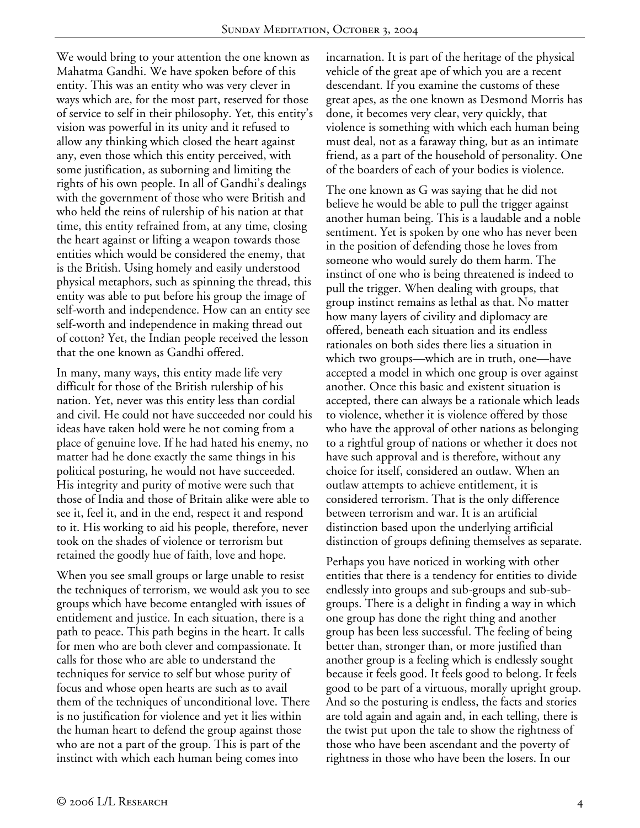We would bring to your attention the one known as Mahatma Gandhi. We have spoken before of this entity. This was an entity who was very clever in ways which are, for the most part, reserved for those of service to self in their philosophy. Yet, this entity's vision was powerful in its unity and it refused to allow any thinking which closed the heart against any, even those which this entity perceived, with some justification, as suborning and limiting the rights of his own people. In all of Gandhi's dealings with the government of those who were British and who held the reins of rulership of his nation at that time, this entity refrained from, at any time, closing the heart against or lifting a weapon towards those entities which would be considered the enemy, that is the British. Using homely and easily understood physical metaphors, such as spinning the thread, this entity was able to put before his group the image of self-worth and independence. How can an entity see self-worth and independence in making thread out of cotton? Yet, the Indian people received the lesson that the one known as Gandhi offered.

In many, many ways, this entity made life very difficult for those of the British rulership of his nation. Yet, never was this entity less than cordial and civil. He could not have succeeded nor could his ideas have taken hold were he not coming from a place of genuine love. If he had hated his enemy, no matter had he done exactly the same things in his political posturing, he would not have succeeded. His integrity and purity of motive were such that those of India and those of Britain alike were able to see it, feel it, and in the end, respect it and respond to it. His working to aid his people, therefore, never took on the shades of violence or terrorism but retained the goodly hue of faith, love and hope.

When you see small groups or large unable to resist the techniques of terrorism, we would ask you to see groups which have become entangled with issues of entitlement and justice. In each situation, there is a path to peace. This path begins in the heart. It calls for men who are both clever and compassionate. It calls for those who are able to understand the techniques for service to self but whose purity of focus and whose open hearts are such as to avail them of the techniques of unconditional love. There is no justification for violence and yet it lies within the human heart to defend the group against those who are not a part of the group. This is part of the instinct with which each human being comes into

incarnation. It is part of the heritage of the physical vehicle of the great ape of which you are a recent descendant. If you examine the customs of these great apes, as the one known as Desmond Morris has done, it becomes very clear, very quickly, that violence is something with which each human being must deal, not as a faraway thing, but as an intimate friend, as a part of the household of personality. One of the boarders of each of your bodies is violence.

The one known as G was saying that he did not believe he would be able to pull the trigger against another human being. This is a laudable and a noble sentiment. Yet is spoken by one who has never been in the position of defending those he loves from someone who would surely do them harm. The instinct of one who is being threatened is indeed to pull the trigger. When dealing with groups, that group instinct remains as lethal as that. No matter how many layers of civility and diplomacy are offered, beneath each situation and its endless rationales on both sides there lies a situation in which two groups—which are in truth, one—have accepted a model in which one group is over against another. Once this basic and existent situation is accepted, there can always be a rationale which leads to violence, whether it is violence offered by those who have the approval of other nations as belonging to a rightful group of nations or whether it does not have such approval and is therefore, without any choice for itself, considered an outlaw. When an outlaw attempts to achieve entitlement, it is considered terrorism. That is the only difference between terrorism and war. It is an artificial distinction based upon the underlying artificial distinction of groups defining themselves as separate.

Perhaps you have noticed in working with other entities that there is a tendency for entities to divide endlessly into groups and sub-groups and sub-subgroups. There is a delight in finding a way in which one group has done the right thing and another group has been less successful. The feeling of being better than, stronger than, or more justified than another group is a feeling which is endlessly sought because it feels good. It feels good to belong. It feels good to be part of a virtuous, morally upright group. And so the posturing is endless, the facts and stories are told again and again and, in each telling, there is the twist put upon the tale to show the rightness of those who have been ascendant and the poverty of rightness in those who have been the losers. In our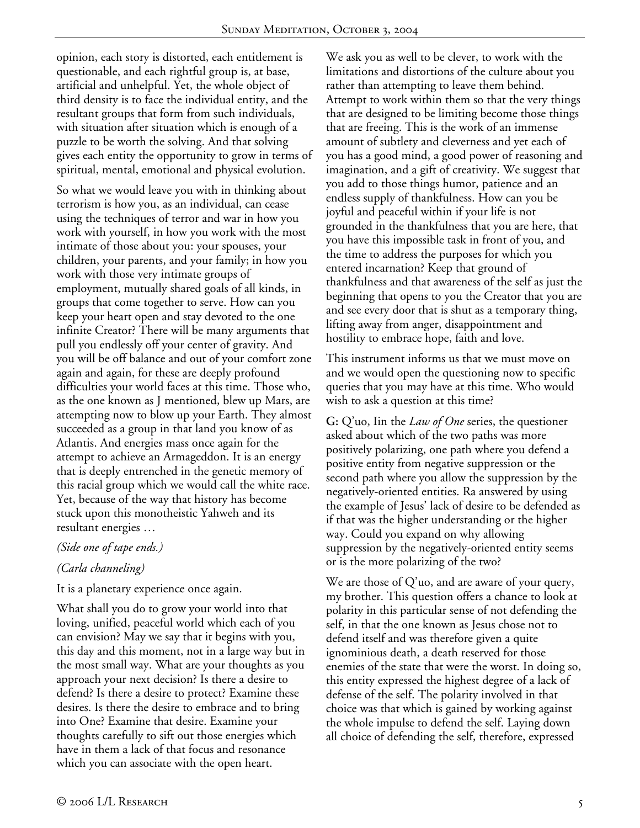opinion, each story is distorted, each entitlement is questionable, and each rightful group is, at base, artificial and unhelpful. Yet, the whole object of third density is to face the individual entity, and the resultant groups that form from such individuals, with situation after situation which is enough of a puzzle to be worth the solving. And that solving gives each entity the opportunity to grow in terms of spiritual, mental, emotional and physical evolution.

So what we would leave you with in thinking about terrorism is how you, as an individual, can cease using the techniques of terror and war in how you work with yourself, in how you work with the most intimate of those about you: your spouses, your children, your parents, and your family; in how you work with those very intimate groups of employment, mutually shared goals of all kinds, in groups that come together to serve. How can you keep your heart open and stay devoted to the one infinite Creator? There will be many arguments that pull you endlessly off your center of gravity. And you will be off balance and out of your comfort zone again and again, for these are deeply profound difficulties your world faces at this time. Those who, as the one known as J mentioned, blew up Mars, are attempting now to blow up your Earth. They almost succeeded as a group in that land you know of as Atlantis. And energies mass once again for the attempt to achieve an Armageddon. It is an energy that is deeply entrenched in the genetic memory of this racial group which we would call the white race. Yet, because of the way that history has become stuck upon this monotheistic Yahweh and its resultant energies …

## *(Side one of tape ends.)*

## *(Carla channeling)*

It is a planetary experience once again.

What shall you do to grow your world into that loving, unified, peaceful world which each of you can envision? May we say that it begins with you, this day and this moment, not in a large way but in the most small way. What are your thoughts as you approach your next decision? Is there a desire to defend? Is there a desire to protect? Examine these desires. Is there the desire to embrace and to bring into One? Examine that desire. Examine your thoughts carefully to sift out those energies which have in them a lack of that focus and resonance which you can associate with the open heart.

We ask you as well to be clever, to work with the limitations and distortions of the culture about you rather than attempting to leave them behind. Attempt to work within them so that the very things that are designed to be limiting become those things that are freeing. This is the work of an immense amount of subtlety and cleverness and yet each of you has a good mind, a good power of reasoning and imagination, and a gift of creativity. We suggest that you add to those things humor, patience and an endless supply of thankfulness. How can you be joyful and peaceful within if your life is not grounded in the thankfulness that you are here, that you have this impossible task in front of you, and the time to address the purposes for which you entered incarnation? Keep that ground of thankfulness and that awareness of the self as just the beginning that opens to you the Creator that you are and see every door that is shut as a temporary thing, lifting away from anger, disappointment and hostility to embrace hope, faith and love.

This instrument informs us that we must move on and we would open the questioning now to specific queries that you may have at this time. Who would wish to ask a question at this time?

**G:** Q'uo, Iin the *Law of One* series, the questioner asked about which of the two paths was more positively polarizing, one path where you defend a positive entity from negative suppression or the second path where you allow the suppression by the negatively-oriented entities. Ra answered by using the example of Jesus' lack of desire to be defended as if that was the higher understanding or the higher way. Could you expand on why allowing suppression by the negatively-oriented entity seems or is the more polarizing of the two?

We are those of  $Q'$ uo, and are aware of your query, my brother. This question offers a chance to look at polarity in this particular sense of not defending the self, in that the one known as Jesus chose not to defend itself and was therefore given a quite ignominious death, a death reserved for those enemies of the state that were the worst. In doing so, this entity expressed the highest degree of a lack of defense of the self. The polarity involved in that choice was that which is gained by working against the whole impulse to defend the self. Laying down all choice of defending the self, therefore, expressed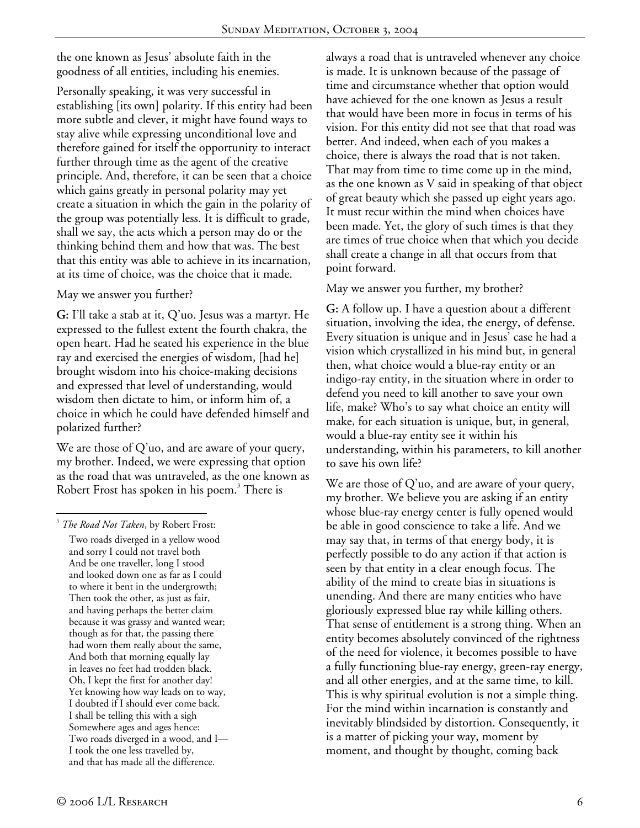the one known as Jesus' absolute faith in the goodness of all entities, including his enemies.

Personally speaking, it was very successful in establishing [its own] polarity. If this entity had been more subtle and clever, it might have found ways to stay alive while expressing unconditional love and therefore gained for itself the opportunity to interact further through time as the agent of the creative principle. And, therefore, it can be seen that a choice which gains greatly in personal polarity may yet create a situation in which the gain in the polarity of the group was potentially less. It is difficult to grade, shall we say, the acts which a person may do or the thinking behind them and how that was. The best that this entity was able to achieve in its incarnation, at its time of choice, was the choice that it made.

May we answer you further?

**G:** I'll take a stab at it, Q'uo. Jesus was a martyr. He expressed to the fullest extent the fourth chakra, the open heart. Had he seated his experience in the blue ray and exercised the energies of wisdom, [had he] brought wisdom into his choice-making decisions and expressed that level of understanding, would wisdom then dictate to him, or inform him of, a choice in which he could have defended himself and polarized further?

We are those of Q'uo, and are aware of your query, my brother. Indeed, we were expressing that option as the road that was untraveled, as the one known as Robert Frost has spoken in his poem.<sup>3</sup> There is

<u>.</u> 3 *The Road Not Taken*, by Robert Frost:

Two roads diverged in a yellow wood and sorry I could not travel both And be one traveller, long I stood and looked down one as far as I could to where it bent in the undergrowth; Then took the other, as just as fair, and having perhaps the better claim because it was grassy and wanted wear; though as for that, the passing there had worn them really about the same, And both that morning equally lay in leaves no feet had trodden black. Oh, I kept the first for another day! Yet knowing how way leads on to way, I doubted if I should ever come back. I shall be telling this with a sigh Somewhere ages and ages hence: Two roads diverged in a wood, and I— I took the one less travelled by, and that has made all the difference.

always a road that is untraveled whenever any choice is made. It is unknown because of the passage of time and circumstance whether that option would have achieved for the one known as Jesus a result that would have been more in focus in terms of his vision. For this entity did not see that that road was better. And indeed, when each of you makes a choice, there is always the road that is not taken. That may from time to time come up in the mind, as the one known as V said in speaking of that object of great beauty which she passed up eight years ago. It must recur within the mind when choices have been made. Yet, the glory of such times is that they are times of true choice when that which you decide shall create a change in all that occurs from that point forward.

May we answer you further, my brother?

**G:** A follow up. I have a question about a different situation, involving the idea, the energy, of defense. Every situation is unique and in Jesus' case he had a vision which crystallized in his mind but, in general then, what choice would a blue-ray entity or an indigo-ray entity, in the situation where in order to defend you need to kill another to save your own life, make? Who's to say what choice an entity will make, for each situation is unique, but, in general, would a blue-ray entity see it within his understanding, within his parameters, to kill another to save his own life?

We are those of  $Q'$ uo, and are aware of your query, my brother. We believe you are asking if an entity whose blue-ray energy center is fully opened would be able in good conscience to take a life. And we may say that, in terms of that energy body, it is perfectly possible to do any action if that action is seen by that entity in a clear enough focus. The ability of the mind to create bias in situations is unending. And there are many entities who have gloriously expressed blue ray while killing others. That sense of entitlement is a strong thing. When an entity becomes absolutely convinced of the rightness of the need for violence, it becomes possible to have a fully functioning blue-ray energy, green-ray energy, and all other energies, and at the same time, to kill. This is why spiritual evolution is not a simple thing. For the mind within incarnation is constantly and inevitably blindsided by distortion. Consequently, it is a matter of picking your way, moment by moment, and thought by thought, coming back